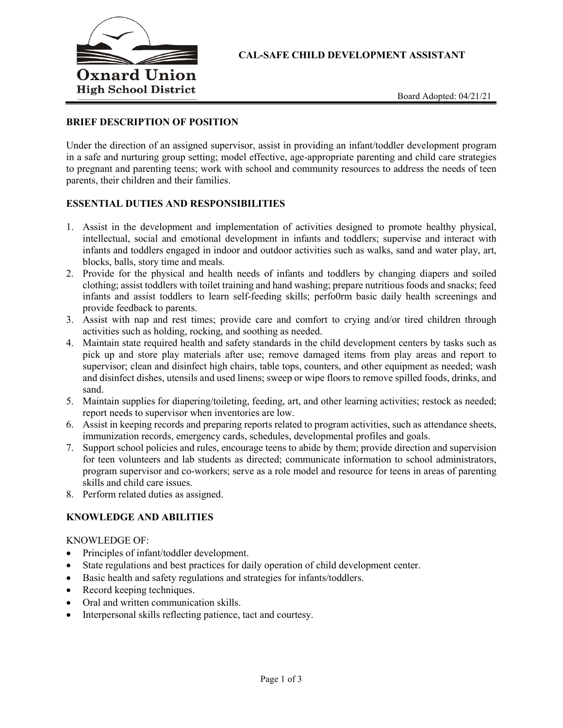

**CAL-SAFE CHILD DEVELOPMENT ASSISTANT**

## **BRIEF DESCRIPTION OF POSITION**

Under the direction of an assigned supervisor, assist in providing an infant/toddler development program in a safe and nurturing group setting; model effective, age-appropriate parenting and child care strategies to pregnant and parenting teens; work with school and community resources to address the needs of teen parents, their children and their families.

#### **ESSENTIAL DUTIES AND RESPONSIBILITIES**

- 1. Assist in the development and implementation of activities designed to promote healthy physical, intellectual, social and emotional development in infants and toddlers; supervise and interact with infants and toddlers engaged in indoor and outdoor activities such as walks, sand and water play, art, blocks, balls, story time and meals.
- 2. Provide for the physical and health needs of infants and toddlers by changing diapers and soiled clothing; assist toddlers with toilet training and hand washing; prepare nutritious foods and snacks; feed infants and assist toddlers to learn self-feeding skills; perfo0rm basic daily health screenings and provide feedback to parents.
- 3. Assist with nap and rest times; provide care and comfort to crying and/or tired children through activities such as holding, rocking, and soothing as needed.
- 4. Maintain state required health and safety standards in the child development centers by tasks such as pick up and store play materials after use; remove damaged items from play areas and report to supervisor; clean and disinfect high chairs, table tops, counters, and other equipment as needed; wash and disinfect dishes, utensils and used linens; sweep or wipe floors to remove spilled foods, drinks, and sand.
- 5. Maintain supplies for diapering/toileting, feeding, art, and other learning activities; restock as needed; report needs to supervisor when inventories are low.
- 6. Assist in keeping records and preparing reports related to program activities, such as attendance sheets, immunization records, emergency cards, schedules, developmental profiles and goals.
- 7. Support school policies and rules, encourage teens to abide by them; provide direction and supervision for teen volunteers and lab students as directed; communicate information to school administrators, program supervisor and co-workers; serve as a role model and resource for teens in areas of parenting skills and child care issues.
- 8. Perform related duties as assigned.

# **KNOWLEDGE AND ABILITIES**

#### KNOWLEDGE OF:

- Principles of infant/toddler development.
- State regulations and best practices for daily operation of child development center.
- Basic health and safety regulations and strategies for infants/toddlers.
- Record keeping techniques.
- Oral and written communication skills.
- Interpersonal skills reflecting patience, tact and courtesy.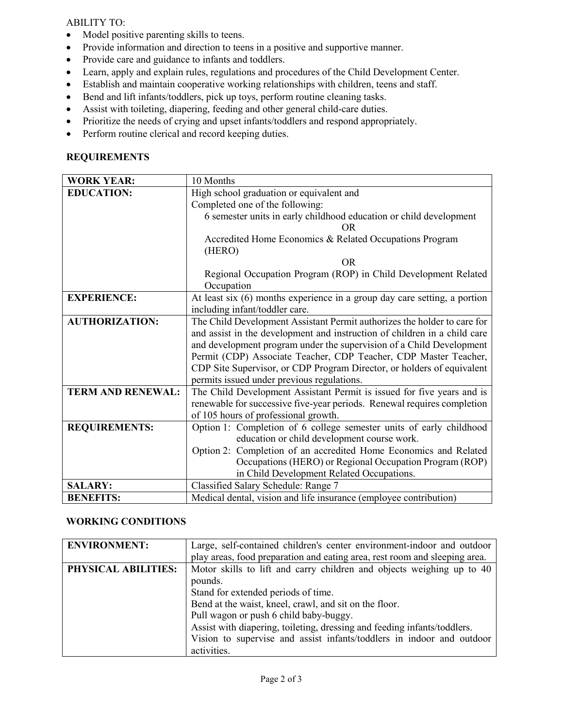## ABILITY TO:

- Model positive parenting skills to teens.
- Provide information and direction to teens in a positive and supportive manner.
- Provide care and guidance to infants and toddlers.
- Learn, apply and explain rules, regulations and procedures of the Child Development Center.
- Establish and maintain cooperative working relationships with children, teens and staff.
- Bend and lift infants/toddlers, pick up toys, perform routine cleaning tasks.
- Assist with toileting, diapering, feeding and other general child-care duties.
- Prioritize the needs of crying and upset infants/toddlers and respond appropriately.
- Perform routine clerical and record keeping duties.

# **REQUIREMENTS**

| <b>WORK YEAR:</b>        | 10 Months                                                                   |
|--------------------------|-----------------------------------------------------------------------------|
| <b>EDUCATION:</b>        | High school graduation or equivalent and                                    |
|                          | Completed one of the following:                                             |
|                          | 6 semester units in early childhood education or child development          |
|                          | OR.                                                                         |
|                          | Accredited Home Economics & Related Occupations Program                     |
|                          | (HERO)                                                                      |
|                          | <b>OR</b>                                                                   |
|                          | Regional Occupation Program (ROP) in Child Development Related              |
|                          | Occupation                                                                  |
| <b>EXPERIENCE:</b>       | At least six $(6)$ months experience in a group day care setting, a portion |
|                          | including infant/toddler care.                                              |
| <b>AUTHORIZATION:</b>    | The Child Development Assistant Permit authorizes the holder to care for    |
|                          | and assist in the development and instruction of children in a child care   |
|                          | and development program under the supervision of a Child Development        |
|                          | Permit (CDP) Associate Teacher, CDP Teacher, CDP Master Teacher,            |
|                          | CDP Site Supervisor, or CDP Program Director, or holders of equivalent      |
|                          | permits issued under previous regulations.                                  |
| <b>TERM AND RENEWAL:</b> | The Child Development Assistant Permit is issued for five years and is      |
|                          | renewable for successive five-year periods. Renewal requires completion     |
|                          | of 105 hours of professional growth.                                        |
| <b>REQUIREMENTS:</b>     | Option 1: Completion of 6 college semester units of early childhood         |
|                          | education or child development course work.                                 |
|                          | Option 2: Completion of an accredited Home Economics and Related            |
|                          | Occupations (HERO) or Regional Occupation Program (ROP)                     |
|                          | in Child Development Related Occupations.                                   |
| <b>SALARY:</b>           | Classified Salary Schedule: Range 7                                         |
| <b>BENEFITS:</b>         | Medical dental, vision and life insurance (employee contribution)           |

## **WORKING CONDITIONS**

| <b>ENVIRONMENT:</b> | Large, self-contained children's center environment-indoor and outdoor     |
|---------------------|----------------------------------------------------------------------------|
|                     | play areas, food preparation and eating area, rest room and sleeping area. |
| PHYSICAL ABILITIES: | Motor skills to lift and carry children and objects weighing up to 40      |
|                     | pounds.                                                                    |
|                     | Stand for extended periods of time.                                        |
|                     | Bend at the waist, kneel, crawl, and sit on the floor.                     |
|                     | Pull wagon or push 6 child baby-buggy.                                     |
|                     | Assist with diapering, toileting, dressing and feeding infants/toddlers.   |
|                     | Vision to supervise and assist infants/toddlers in indoor and outdoor      |
|                     | activities.                                                                |